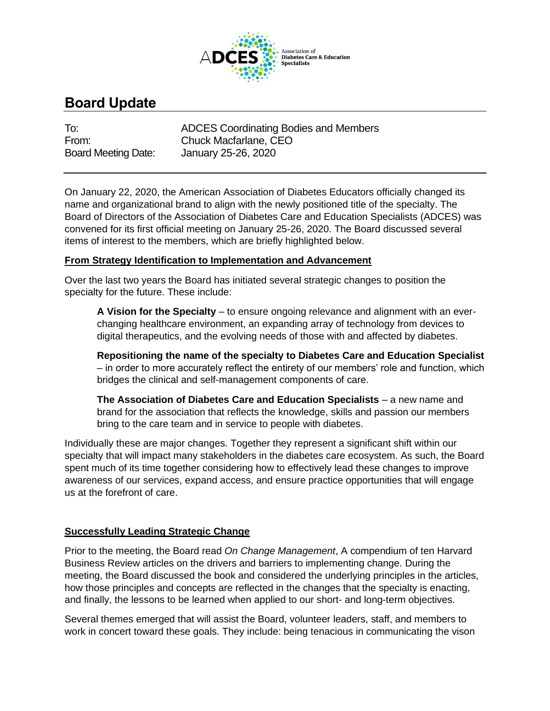

# **Board Update**

To: ADCES Coordinating Bodies and Members From: Chuck Macfarlane, CEO Board Meeting Date: January 25-26, 2020

On January 22, 2020, the American Association of Diabetes Educators officially changed its name and organizational brand to align with the newly positioned title of the specialty. The Board of Directors of the Association of Diabetes Care and Education Specialists (ADCES) was convened for its first official meeting on January 25-26, 2020. The Board discussed several items of interest to the members, which are briefly highlighted below.

# **From Strategy Identification to Implementation and Advancement**

Over the last two years the Board has initiated several strategic changes to position the specialty for the future. These include:

**A Vision for the Specialty** – to ensure ongoing relevance and alignment with an everchanging healthcare environment, an expanding array of technology from devices to digital therapeutics, and the evolving needs of those with and affected by diabetes.

**Repositioning the name of the specialty to Diabetes Care and Education Specialist** – in order to more accurately reflect the entirety of our members' role and function, which bridges the clinical and self-management components of care.

**The Association of Diabetes Care and Education Specialists** – a new name and brand for the association that reflects the knowledge, skills and passion our members bring to the care team and in service to people with diabetes.

Individually these are major changes. Together they represent a significant shift within our specialty that will impact many stakeholders in the diabetes care ecosystem. As such, the Board spent much of its time together considering how to effectively lead these changes to improve awareness of our services, expand access, and ensure practice opportunities that will engage us at the forefront of care.

# **Successfully Leading Strategic Change**

Prior to the meeting, the Board read *On Change Management*, A compendium of ten Harvard Business Review articles on the drivers and barriers to implementing change. During the meeting, the Board discussed the book and considered the underlying principles in the articles, how those principles and concepts are reflected in the changes that the specialty is enacting, and finally, the lessons to be learned when applied to our short- and long-term objectives.

Several themes emerged that will assist the Board, volunteer leaders, staff, and members to work in concert toward these goals. They include: being tenacious in communicating the vison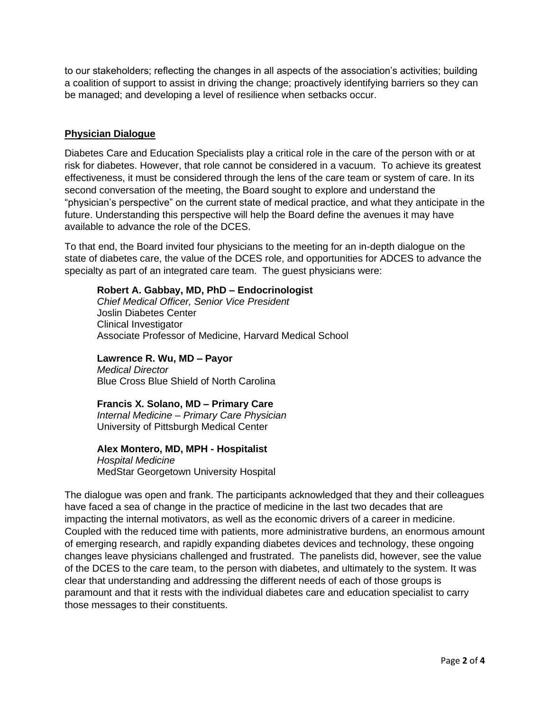to our stakeholders; reflecting the changes in all aspects of the association's activities; building a coalition of support to assist in driving the change; proactively identifying barriers so they can be managed; and developing a level of resilience when setbacks occur.

#### **Physician Dialogue**

Diabetes Care and Education Specialists play a critical role in the care of the person with or at risk for diabetes. However, that role cannot be considered in a vacuum. To achieve its greatest effectiveness, it must be considered through the lens of the care team or system of care. In its second conversation of the meeting, the Board sought to explore and understand the "physician's perspective" on the current state of medical practice, and what they anticipate in the future. Understanding this perspective will help the Board define the avenues it may have available to advance the role of the DCES.

To that end, the Board invited four physicians to the meeting for an in-depth dialogue on the state of diabetes care, the value of the DCES role, and opportunities for ADCES to advance the specialty as part of an integrated care team. The guest physicians were:

#### **Robert A. Gabbay, MD, PhD – Endocrinologist**

*Chief Medical Officer, Senior Vice President* Joslin Diabetes Center Clinical Investigator Associate Professor of Medicine, Harvard Medical School

**Lawrence R. Wu, MD – Payor**  *Medical Director* Blue Cross Blue Shield of North Carolina

## **Francis X. Solano, MD – Primary Care**

*Internal Medicine – Primary Care Physician* University of Pittsburgh Medical Center

#### **Alex Montero, MD, MPH - Hospitalist**

*Hospital Medicine* MedStar Georgetown University Hospital

The dialogue was open and frank. The participants acknowledged that they and their colleagues have faced a sea of change in the practice of medicine in the last two decades that are impacting the internal motivators, as well as the economic drivers of a career in medicine. Coupled with the reduced time with patients, more administrative burdens, an enormous amount of emerging research, and rapidly expanding diabetes devices and technology, these ongoing changes leave physicians challenged and frustrated. The panelists did, however, see the value of the DCES to the care team, to the person with diabetes, and ultimately to the system. It was clear that understanding and addressing the different needs of each of those groups is paramount and that it rests with the individual diabetes care and education specialist to carry those messages to their constituents.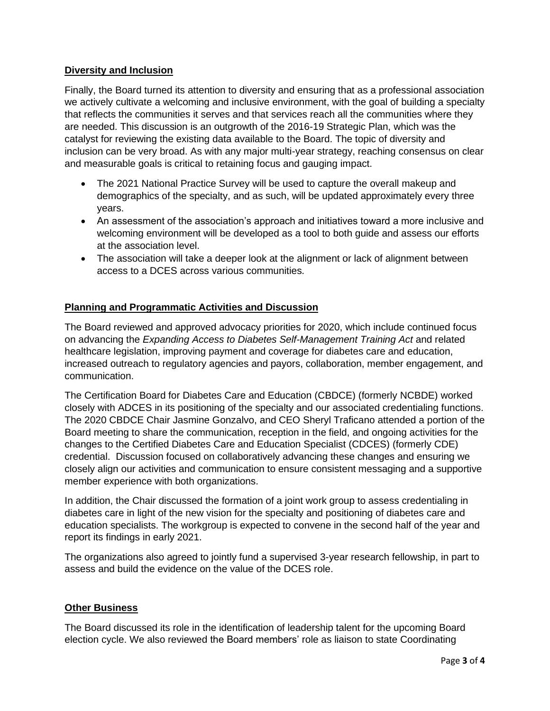# **Diversity and Inclusion**

Finally, the Board turned its attention to diversity and ensuring that as a professional association we actively cultivate a welcoming and inclusive environment, with the goal of building a specialty that reflects the communities it serves and that services reach all the communities where they are needed. This discussion is an outgrowth of the 2016-19 Strategic Plan, which was the catalyst for reviewing the existing data available to the Board. The topic of diversity and inclusion can be very broad. As with any major multi-year strategy, reaching consensus on clear and measurable goals is critical to retaining focus and gauging impact.

- The 2021 National Practice Survey will be used to capture the overall makeup and demographics of the specialty, and as such, will be updated approximately every three years.
- An assessment of the association's approach and initiatives toward a more inclusive and welcoming environment will be developed as a tool to both guide and assess our efforts at the association level.
- The association will take a deeper look at the alignment or lack of alignment between access to a DCES across various communities.

# **Planning and Programmatic Activities and Discussion**

The Board reviewed and approved advocacy priorities for 2020, which include continued focus on advancing the *Expanding Access to Diabetes Self-Management Training Act* and related healthcare legislation, improving payment and coverage for diabetes care and education, increased outreach to regulatory agencies and payors, collaboration, member engagement, and communication.

The Certification Board for Diabetes Care and Education (CBDCE) (formerly NCBDE) worked closely with ADCES in its positioning of the specialty and our associated credentialing functions. The 2020 CBDCE Chair Jasmine Gonzalvo, and CEO Sheryl Traficano attended a portion of the Board meeting to share the communication, reception in the field, and ongoing activities for the changes to the Certified Diabetes Care and Education Specialist (CDCES) (formerly CDE) credential. Discussion focused on collaboratively advancing these changes and ensuring we closely align our activities and communication to ensure consistent messaging and a supportive member experience with both organizations.

In addition, the Chair discussed the formation of a joint work group to assess credentialing in diabetes care in light of the new vision for the specialty and positioning of diabetes care and education specialists. The workgroup is expected to convene in the second half of the year and report its findings in early 2021.

The organizations also agreed to jointly fund a supervised 3-year research fellowship, in part to assess and build the evidence on the value of the DCES role.

## **Other Business**

The Board discussed its role in the identification of leadership talent for the upcoming Board election cycle. We also reviewed the Board members' role as liaison to state Coordinating